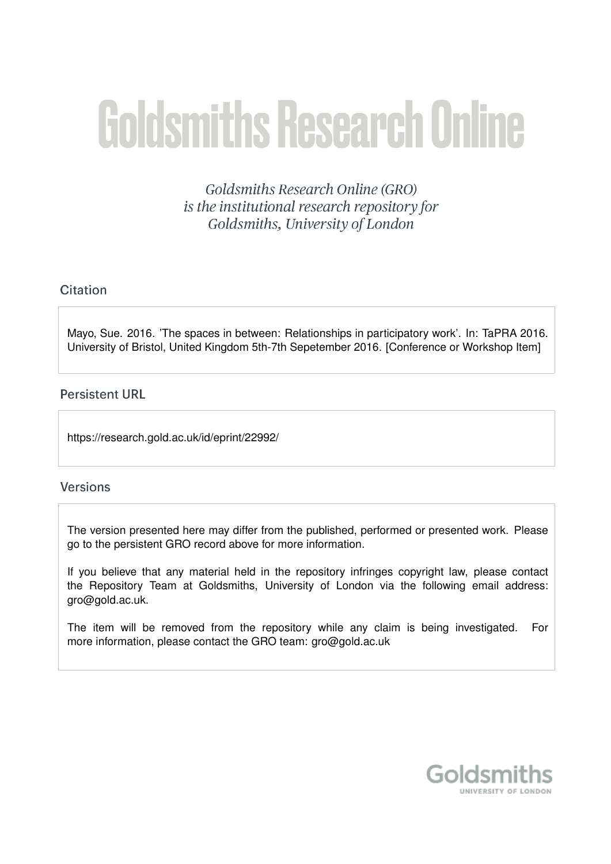# **Goldsmiths Research Online**

**Goldsmiths Research Online (GRO)** is the institutional research repository for Goldsmiths, University of London

# Citation

Mayo, Sue. 2016. 'The spaces in between: Relationships in participatory work'. In: TaPRA 2016. University of Bristol, United Kingdom 5th-7th Sepetember 2016. [Conference or Workshop Item]

## **Persistent URL**

https://research.gold.ac.uk/id/eprint/22992/

### **Versions**

The version presented here may differ from the published, performed or presented work. Please go to the persistent GRO record above for more information.

If you believe that any material held in the repository infringes copyright law, please contact the Repository Team at Goldsmiths, University of London via the following email address: gro@gold.ac.uk.

The item will be removed from the repository while any claim is being investigated. For more information, please contact the GRO team: gro@gold.ac.uk

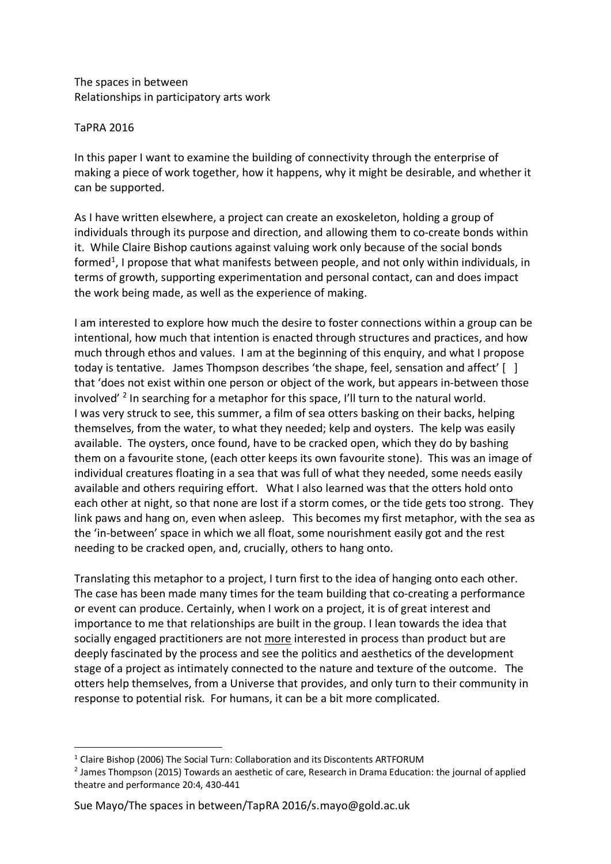The spaces in between Relationships in participatory arts work

#### TaPRA 2016

In this paper I want to examine the building of connectivity through the enterprise of making a piece of work together, how it happens, why it might be desirable, and whether it can be supported.

As I have written elsewhere, a project can create an exoskeleton, holding a group of individuals through its purpose and direction, and allowing them to co-create bonds within it. While Claire Bishop cautions against valuing work only because of the social bonds formed<sup>1</sup>, I propose that what manifests between people, and not only within individuals, in terms of growth, supporting experimentation and personal contact, can and does impact the work being made, as well as the experience of making.

I am interested to explore how much the desire to foster connections within a group can be intentional, how much that intention is enacted through structures and practices, and how much through ethos and values. I am at the beginning of this enquiry, and what I propose today is tentative. James Thompson describes 'the shape, feel, sensation and affect' [ ] that 'does not exist within one person or object of the work, but appears in-between those involved'<sup>2</sup> In searching for a metaphor for this space, I'll turn to the natural world. I was very struck to see, this summer, a film of sea otters basking on their backs, helping themselves, from the water, to what they needed; kelp and oysters. The kelp was easily available. The oysters, once found, have to be cracked open, which they do by bashing them on a favourite stone, (each otter keeps its own favourite stone). This was an image of individual creatures floating in a sea that was full of what they needed, some needs easily available and others requiring effort. What I also learned was that the otters hold onto each other at night, so that none are lost if a storm comes, or the tide gets too strong. They link paws and hang on, even when asleep. This becomes my first metaphor, with the sea as the 'in-between' space in which we all float, some nourishment easily got and the rest needing to be cracked open, and, crucially, others to hang onto.

Translating this metaphor to a project, I turn first to the idea of hanging onto each other. The case has been made many times for the team building that co-creating a performance or event can produce. Certainly, when I work on a project, it is of great interest and importance to me that relationships are built in the group. I lean towards the idea that socially engaged practitioners are not more interested in process than product but are deeply fascinated by the process and see the politics and aesthetics of the development stage of a project as intimately connected to the nature and texture of the outcome. The otters help themselves, from a Universe that provides, and only turn to their community in response to potential risk. For humans, it can be a bit more complicated.

Sue Mayo/The spaces in between/TapRA 2016/s.mayo@gold.ac.uk

<sup>&</sup>lt;sup>1</sup> Claire Bishop (2006) The Social Turn: Collaboration and its Discontents ARTFORUM<br><sup>2</sup> James Thompson (2015) Towards an aesthetic of care, Research in Drama Education: the journal of applied theatre and performance 20:4, 430-441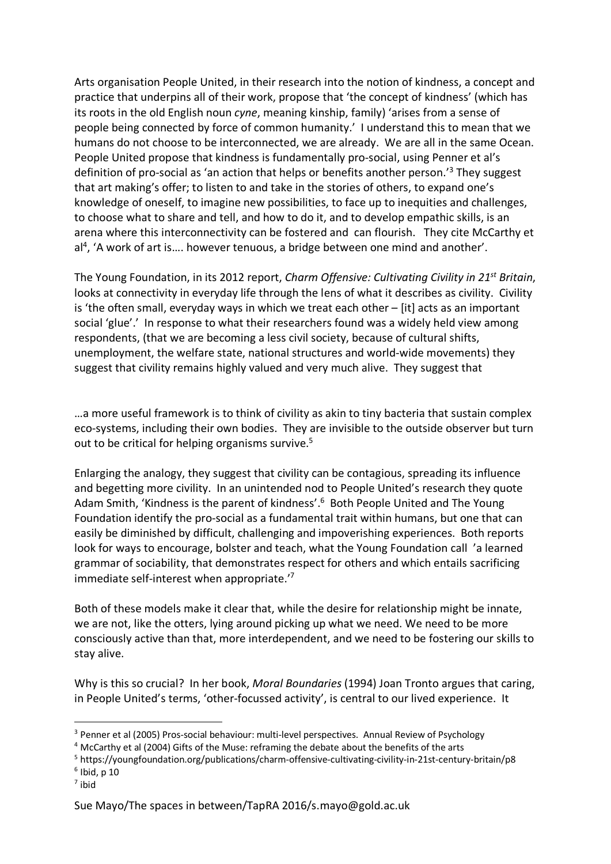Arts organisation People United, in their research into the notion of kindness, a concept and practice that underpins all of their work, propose that 'the concept of kindness' (which has its roots in the old English noun *cyne*, meaning kinship, family) 'arises from a sense of people being connected by force of common humanity.' I understand this to mean that we humans do not choose to be interconnected, we are already. We are all in the same Ocean. People United propose that kindness is fundamentally pro-social, using Penner et al's definition of pro-social as 'an action that helps or benefits another person.'3 They suggest that art making's offer; to listen to and take in the stories of others, to expand one's knowledge of oneself, to imagine new possibilities, to face up to inequities and challenges, to choose what to share and tell, and how to do it, and to develop empathic skills, is an arena where this interconnectivity can be fostered and can flourish. They cite McCarthy et al<sup>4</sup>, 'A work of art is.... however tenuous, a bridge between one mind and another'.

The Young Foundation, in its 2012 report, *Charm Offensive: Cultivating Civility in 21st Britain*, looks at connectivity in everyday life through the lens of what it describes as civility. Civility is 'the often small, everyday ways in which we treat each other – [it] acts as an important social 'glue'.' In response to what their researchers found was a widely held view among respondents, (that we are becoming a less civil society, because of cultural shifts, unemployment, the welfare state, national structures and world-wide movements) they suggest that civility remains highly valued and very much alive. They suggest that

…a more useful framework is to think of civility as akin to tiny bacteria that sustain complex eco-systems, including their own bodies. They are invisible to the outside observer but turn out to be critical for helping organisms survive.<sup>5</sup>

Enlarging the analogy, they suggest that civility can be contagious, spreading its influence and begetting more civility. In an unintended nod to People United's research they quote Adam Smith, 'Kindness is the parent of kindness'.<sup>6</sup> Both People United and The Young Foundation identify the pro-social as a fundamental trait within humans, but one that can easily be diminished by difficult, challenging and impoverishing experiences. Both reports look for ways to encourage, bolster and teach, what the Young Foundation call 'a learned grammar of sociability, that demonstrates respect for others and which entails sacrificing immediate self-interest when appropriate.'7

Both of these models make it clear that, while the desire for relationship might be innate, we are not, like the otters, lying around picking up what we need. We need to be more consciously active than that, more interdependent, and we need to be fostering our skills to stay alive.

Why is this so crucial? In her book, *Moral Boundaries* (1994) Joan Tronto argues that caring, in People United's terms, 'other-focussed activity', is central to our lived experience. It

<sup>7</sup> ibid

<sup>&</sup>lt;sup>3</sup> Penner et al (2005) Pros-social behaviour: multi-level perspectives. Annual Review of Psychology

<sup>4</sup> McCarthy et al (2004) Gifts of the Muse: reframing the debate about the benefits of the arts

<sup>5</sup> https://youngfoundation.org/publications/charm-offensive-cultivating-civility-in-21st-century-britain/p8

 $6$  Ibid, p 10

Sue Mayo/The spaces in between/TapRA 2016/s.mayo@gold.ac.uk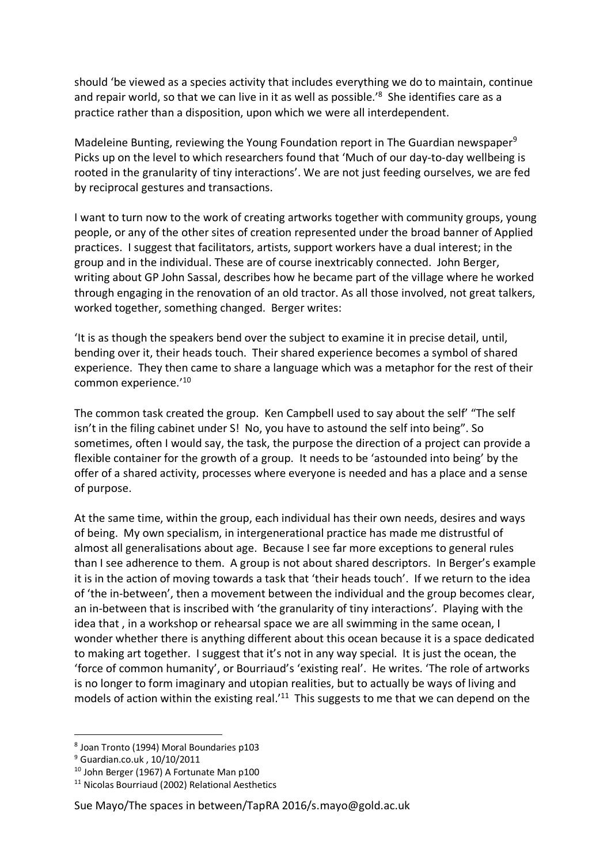should 'be viewed as a species activity that includes everything we do to maintain, continue and repair world, so that we can live in it as well as possible.<sup>'8</sup> She identifies care as a practice rather than a disposition, upon which we were all interdependent.

Madeleine Bunting, reviewing the Young Foundation report in The Guardian newspaper<sup>9</sup> Picks up on the level to which researchers found that 'Much of our day-to-day wellbeing is rooted in the granularity of tiny interactions'. We are not just feeding ourselves, we are fed by reciprocal gestures and transactions.

I want to turn now to the work of creating artworks together with community groups, young people, or any of the other sites of creation represented under the broad banner of Applied practices. I suggest that facilitators, artists, support workers have a dual interest; in the group and in the individual. These are of course inextricably connected. John Berger, writing about GP John Sassal, describes how he became part of the village where he worked through engaging in the renovation of an old tractor. As all those involved, not great talkers, worked together, something changed. Berger writes:

'It is as though the speakers bend over the subject to examine it in precise detail, until, bending over it, their heads touch. Their shared experience becomes a symbol of shared experience. They then came to share a language which was a metaphor for the rest of their common experience.'10

The common task created the group. Ken Campbell used to say about the self' "The self isn't in the filing cabinet under S! No, you have to astound the self into being". So sometimes, often I would say, the task, the purpose the direction of a project can provide a flexible container for the growth of a group. It needs to be 'astounded into being' by the offer of a shared activity, processes where everyone is needed and has a place and a sense of purpose.

At the same time, within the group, each individual has their own needs, desires and ways of being. My own specialism, in intergenerational practice has made me distrustful of almost all generalisations about age. Because I see far more exceptions to general rules than I see adherence to them. A group is not about shared descriptors. In Berger's example it is in the action of moving towards a task that 'their heads touch'. If we return to the idea of 'the in-between', then a movement between the individual and the group becomes clear, an in-between that is inscribed with 'the granularity of tiny interactions'. Playing with the idea that , in a workshop or rehearsal space we are all swimming in the same ocean, I wonder whether there is anything different about this ocean because it is a space dedicated to making art together. I suggest that it's not in any way special. It is just the ocean, the 'force of common humanity', or Bourriaud's 'existing real'. He writes. 'The role of artworks is no longer to form imaginary and utopian realities, but to actually be ways of living and models of action within the existing real.<sup>'11</sup> This suggests to me that we can depend on the

#### Sue Mayo/The spaces in between/TapRA 2016/s.mayo@gold.ac.uk

 <sup>8</sup> Joan Tronto (1994) Moral Boundaries p103

<sup>9</sup> Guardian.co.uk , 10/10/2011

<sup>10</sup> John Berger (1967) A Fortunate Man p100

<sup>11</sup> Nicolas Bourriaud (2002) Relational Aesthetics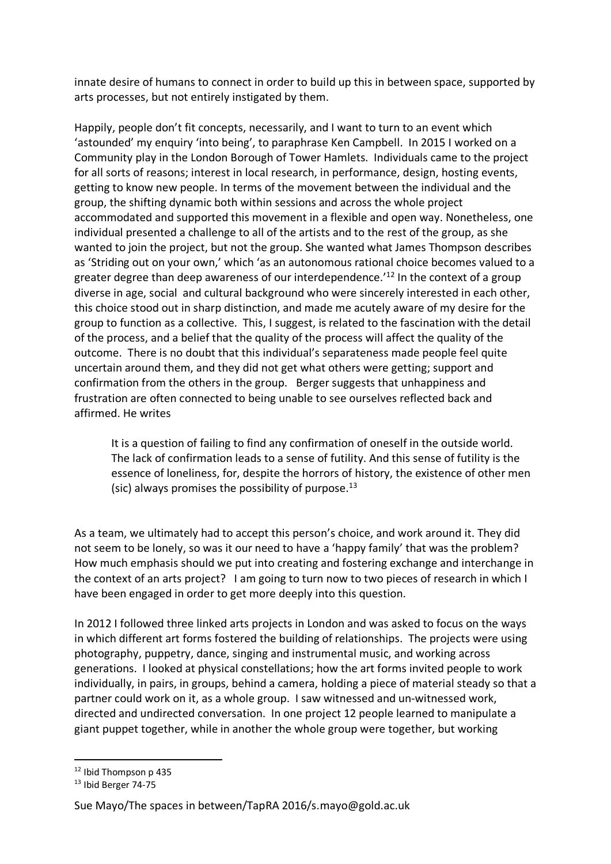innate desire of humans to connect in order to build up this in between space, supported by arts processes, but not entirely instigated by them.

Happily, people don't fit concepts, necessarily, and I want to turn to an event which 'astounded' my enquiry 'into being', to paraphrase Ken Campbell. In 2015 I worked on a Community play in the London Borough of Tower Hamlets. Individuals came to the project for all sorts of reasons; interest in local research, in performance, design, hosting events, getting to know new people. In terms of the movement between the individual and the group, the shifting dynamic both within sessions and across the whole project accommodated and supported this movement in a flexible and open way. Nonetheless, one individual presented a challenge to all of the artists and to the rest of the group, as she wanted to join the project, but not the group. She wanted what James Thompson describes as 'Striding out on your own,' which 'as an autonomous rational choice becomes valued to a greater degree than deep awareness of our interdependence.<sup> $12$ </sup> In the context of a group diverse in age, social and cultural background who were sincerely interested in each other, this choice stood out in sharp distinction, and made me acutely aware of my desire for the group to function as a collective. This, I suggest, is related to the fascination with the detail of the process, and a belief that the quality of the process will affect the quality of the outcome. There is no doubt that this individual's separateness made people feel quite uncertain around them, and they did not get what others were getting; support and confirmation from the others in the group. Berger suggests that unhappiness and frustration are often connected to being unable to see ourselves reflected back and affirmed. He writes

It is a question of failing to find any confirmation of oneself in the outside world. The lack of confirmation leads to a sense of futility. And this sense of futility is the essence of loneliness, for, despite the horrors of history, the existence of other men (sic) always promises the possibility of purpose. $^{13}$ 

As a team, we ultimately had to accept this person's choice, and work around it. They did not seem to be lonely, so was it our need to have a 'happy family' that was the problem? How much emphasis should we put into creating and fostering exchange and interchange in the context of an arts project? I am going to turn now to two pieces of research in which I have been engaged in order to get more deeply into this question.

In 2012 I followed three linked arts projects in London and was asked to focus on the ways in which different art forms fostered the building of relationships. The projects were using photography, puppetry, dance, singing and instrumental music, and working across generations. I looked at physical constellations; how the art forms invited people to work individually, in pairs, in groups, behind a camera, holding a piece of material steady so that a partner could work on it, as a whole group. I saw witnessed and un-witnessed work, directed and undirected conversation. In one project 12 people learned to manipulate a giant puppet together, while in another the whole group were together, but working

 <sup>12</sup> Ibid Thompson p 435

<sup>13</sup> Ibid Berger 74-75

Sue Mayo/The spaces in between/TapRA 2016/s.mayo@gold.ac.uk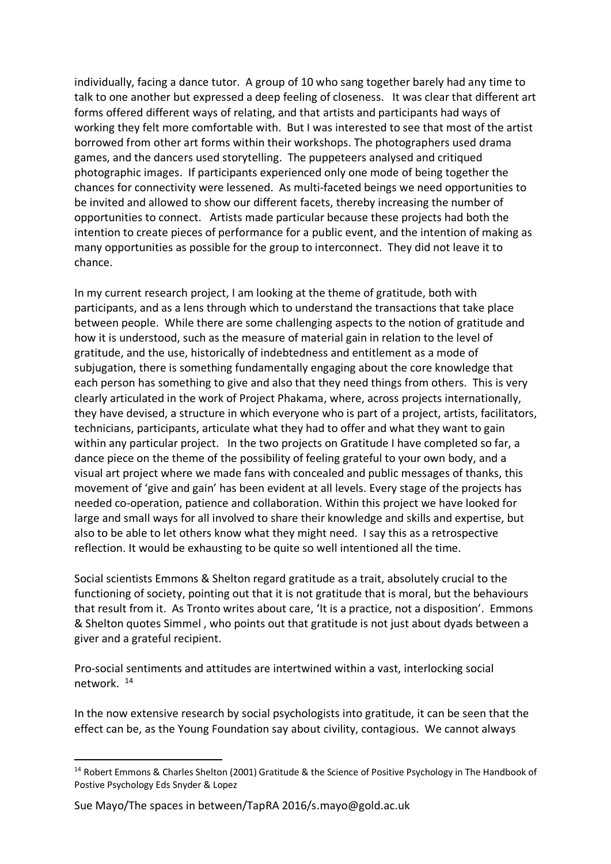individually, facing a dance tutor. A group of 10 who sang together barely had any time to talk to one another but expressed a deep feeling of closeness. It was clear that different art forms offered different ways of relating, and that artists and participants had ways of working they felt more comfortable with. But I was interested to see that most of the artist borrowed from other art forms within their workshops. The photographers used drama games, and the dancers used storytelling. The puppeteers analysed and critiqued photographic images. If participants experienced only one mode of being together the chances for connectivity were lessened. As multi-faceted beings we need opportunities to be invited and allowed to show our different facets, thereby increasing the number of opportunities to connect. Artists made particular because these projects had both the intention to create pieces of performance for a public event, and the intention of making as many opportunities as possible for the group to interconnect. They did not leave it to chance.

In my current research project, I am looking at the theme of gratitude, both with participants, and as a lens through which to understand the transactions that take place between people. While there are some challenging aspects to the notion of gratitude and how it is understood, such as the measure of material gain in relation to the level of gratitude, and the use, historically of indebtedness and entitlement as a mode of subjugation, there is something fundamentally engaging about the core knowledge that each person has something to give and also that they need things from others. This is very clearly articulated in the work of Project Phakama, where, across projects internationally, they have devised, a structure in which everyone who is part of a project, artists, facilitators, technicians, participants, articulate what they had to offer and what they want to gain within any particular project. In the two projects on Gratitude I have completed so far, a dance piece on the theme of the possibility of feeling grateful to your own body, and a visual art project where we made fans with concealed and public messages of thanks, this movement of 'give and gain' has been evident at all levels. Every stage of the projects has needed co-operation, patience and collaboration. Within this project we have looked for large and small ways for all involved to share their knowledge and skills and expertise, but also to be able to let others know what they might need. I say this as a retrospective reflection. It would be exhausting to be quite so well intentioned all the time.

Social scientists Emmons & Shelton regard gratitude as a trait, absolutely crucial to the functioning of society, pointing out that it is not gratitude that is moral, but the behaviours that result from it. As Tronto writes about care, 'It is a practice, not a disposition'. Emmons & Shelton quotes Simmel , who points out that gratitude is not just about dyads between a giver and a grateful recipient.

Pro-social sentiments and attitudes are intertwined within a vast, interlocking social network. 14

In the now extensive research by social psychologists into gratitude, it can be seen that the effect can be, as the Young Foundation say about civility, contagious. We cannot always

<sup>&</sup>lt;sup>14</sup> Robert Emmons & Charles Shelton (2001) Gratitude & the Science of Positive Psychology in The Handbook of Postive Psychology Eds Snyder & Lopez

Sue Mayo/The spaces in between/TapRA 2016/s.mayo@gold.ac.uk